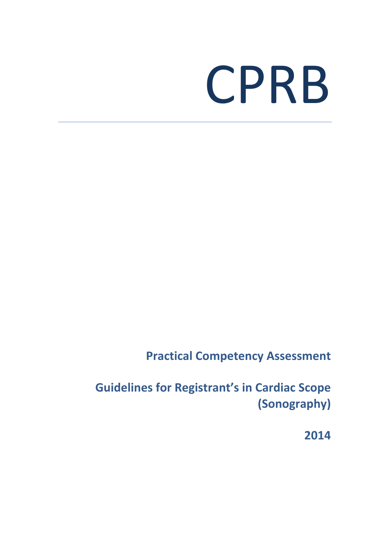## CPRB

**Practical Competency Assessment** 

**Guidelines for Registrant's in Cardiac Scope (Sonography)**

**2014**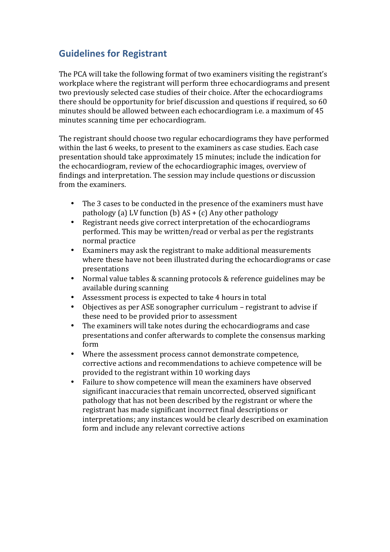## **Guidelines for Registrant**

The PCA will take the following format of two examiners visiting the registrant's workplace where the registrant will perform three echocardiograms and present two previously selected case studies of their choice. After the echocardiograms there should be opportunity for brief discussion and questions if required, so 60 minutes should be allowed between each echocardiogram i.e. a maximum of 45 minutes scanning time per echocardiogram.

The registrant should choose two regular echocardiograms they have performed within the last 6 weeks, to present to the examiners as case studies. Each case presentation should take approximately 15 minutes; include the indication for the echocardiogram, review of the echocardiographic images, overview of findings and interpretation. The session may include questions or discussion from the examiners.

- The 3 cases to be conducted in the presence of the examiners must have pathology (a) LV function (b)  $AS + (c)$  Any other pathology
- Registrant needs give correct interpretation of the echocardiograms performed. This may be written/read or verbal as per the registrants normal practice
- Examiners may ask the registrant to make additional measurements where these have not been illustrated during the echocardiograms or case presentations
- Normal value tables & scanning protocols & reference guidelines may be available during scanning
- Assessment process is expected to take 4 hours in total
- Objectives as per ASE sonographer curriculum registrant to advise if these need to be provided prior to assessment
- The examiners will take notes during the echocardiograms and case presentations and confer afterwards to complete the consensus marking form
- Where the assessment process cannot demonstrate competence, corrective actions and recommendations to achieve competence will be provided to the registrant within 10 working days
- Failure to show competence will mean the examiners have observed significant inaccuracies that remain uncorrected, observed significant pathology that has not been described by the registrant or where the registrant has made significant incorrect final descriptions or interpretations; any instances would be clearly described on examination form and include any relevant corrective actions